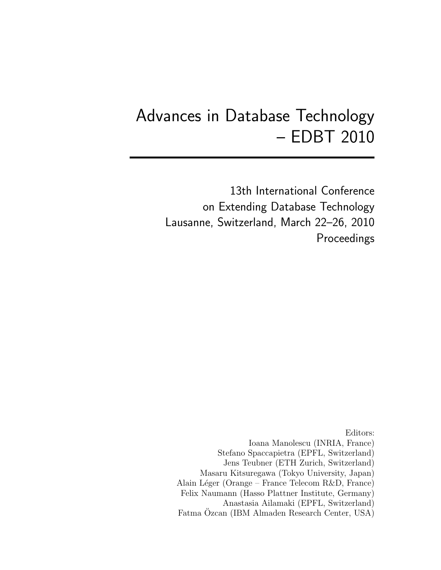# Advances in Database Technology – EDBT 2010

13th International Conference on Extending Database Technology Lausanne, Switzerland, March 22–26, 2010 Proceedings

Editors: Ioana Manolescu (INRIA, France) Stefano Spaccapietra (EPFL, Switzerland) Jens Teubner (ETH Zurich, Switzerland) Masaru Kitsuregawa (Tokyo University, Japan) Alain Léger (Orange – France Telecom R&D, France) Felix Naumann (Hasso Plattner Institute, Germany) Anastasia Ailamaki (EPFL, Switzerland) Fatma Ozcan (IBM Almaden Research Center, USA)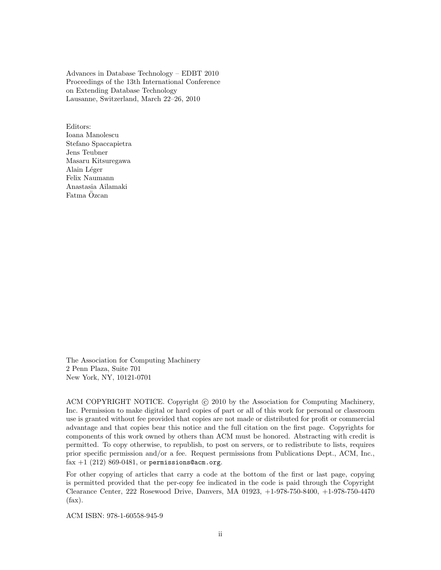Advances in Database Technology – EDBT 2010 Proceedings of the 13th International Conference on Extending Database Technology Lausanne, Switzerland, March 22–26, 2010

Editors: Ioana Manolescu Stefano Spaccapietra Jens Teubner Masaru Kitsuregawa Alain Léger Felix Naumann Anastasia Ailamaki Fatma Ozcan ¨

The Association for Computing Machinery 2 Penn Plaza, Suite 701 New York, NY, 10121-0701

ACM COPYRIGHT NOTICE. Copyright (c) 2010 by the Association for Computing Machinery, Inc. Permission to make digital or hard copies of part or all of this work for personal or classroom use is granted without fee provided that copies are not made or distributed for profit or commercial advantage and that copies bear this notice and the full citation on the first page. Copyrights for components of this work owned by others than ACM must be honored. Abstracting with credit is permitted. To copy otherwise, to republish, to post on servers, or to redistribute to lists, requires prior specific permission and/or a fee. Request permissions from Publications Dept., ACM, Inc., fax  $+1$  (212) 869-0481, or permissions@acm.org.

For other copying of articles that carry a code at the bottom of the first or last page, copying is permitted provided that the per-copy fee indicated in the code is paid through the Copyright Clearance Center, 222 Rosewood Drive, Danvers, MA 01923, +1-978-750-8400, +1-978-750-4470 (fax).

ACM ISBN: 978-1-60558-945-9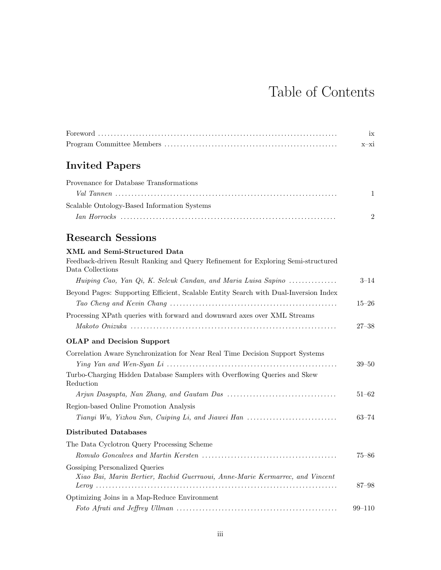# Table of Contents

|                                                                                                       | ix<br>$x-xi$   |
|-------------------------------------------------------------------------------------------------------|----------------|
| <b>Invited Papers</b>                                                                                 |                |
| Provenance for Database Transformations                                                               |                |
|                                                                                                       | 1              |
| Scalable Ontology-Based Information Systems                                                           |                |
|                                                                                                       | $\overline{2}$ |
| <b>Research Sessions</b>                                                                              |                |
| <b>XML</b> and Semi-Structured Data                                                                   |                |
| Feedback-driven Result Ranking and Query Refinement for Exploring Semi-structured<br>Data Collections |                |
| Huiping Cao, Yan Qi, K. Selcuk Candan, and Maria Luisa Sapino                                         | $3 - 14$       |
| Beyond Pages: Supporting Efficient, Scalable Entity Search with Dual-Inversion Index                  |                |
|                                                                                                       | $15 - 26$      |
| Processing XPath queries with forward and downward axes over XML Streams                              |                |
|                                                                                                       | 27–38          |
| <b>OLAP</b> and Decision Support                                                                      |                |
| Correlation Aware Synchronization for Near Real Time Decision Support Systems                         |                |
|                                                                                                       | $39 - 50$      |
| Turbo-Charging Hidden Database Samplers with Overflowing Queries and Skew<br>Reduction                |                |
|                                                                                                       | $51 - 62$      |
| Region-based Online Promotion Analysis                                                                |                |
| Tianyi Wu, Yizhou Sun, Cuiping Li, and Jiawei Han                                                     | $63 - 74$      |
| <b>Distributed Databases</b>                                                                          |                |
| The Data Cyclotron Query Processing Scheme                                                            |                |
|                                                                                                       | $75 - 86$      |
| Gossiping Personalized Queries                                                                        |                |
| Xiao Bai, Marin Bertier, Rachid Guerraoui, Anne-Marie Kermarrec, and Vincent                          | 87–98          |
| Optimizing Joins in a Map-Reduce Environment                                                          |                |
|                                                                                                       | $99 - 110$     |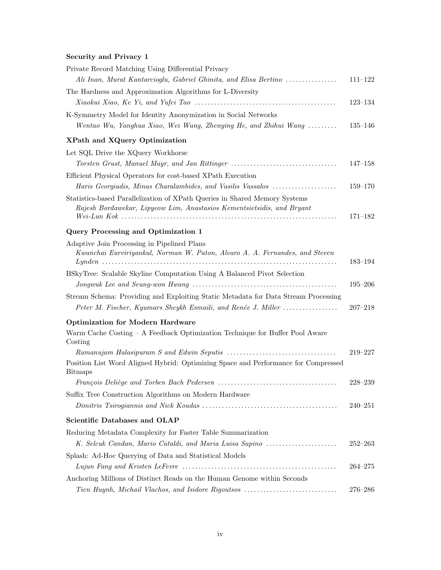### Security and Privacy 1

| Private Record Matching Using Differential Privacy                                      |             |
|-----------------------------------------------------------------------------------------|-------------|
| Ali Inan, Murat Kantarcioglu, Gabriel Ghinita, and Elisa Bertino                        | $111 - 122$ |
| The Hardness and Approximation Algorithms for L-Diversity                               |             |
|                                                                                         | $123 - 134$ |
| K-Symmetry Model for Identity Anonymization in Social Networks                          |             |
| Wentao Wu, Yanghua Xiao, Wei Wang, Zhenying He, and Zhihui Wang                         | $135 - 146$ |
| XPath and XQuery Optimization                                                           |             |
| Let SQL Drive the XQuery Workhorse                                                      |             |
| Torsten Grust, Manuel Mayr, and Jan Rittinger                                           | $147 - 158$ |
| Efficient Physical Operators for cost-based XPath Execution                             |             |
| Haris Georgiadis, Minas Charalambides, and Vasilis Vassalos                             | $159 - 170$ |
| Statistics-based Parallelization of XPath Queries in Shared Memory Systems              |             |
| Rajesh Bordawekar, Lipyeow Lim, Anastasios Kementsietsidis, and Bryant                  |             |
|                                                                                         | $171 - 182$ |
| Query Processing and Optimization 1                                                     |             |
| Adaptive Join Processing in Pipelined Plans                                             |             |
| Kwanchai Eurviriyankul, Norman W. Paton, Alvaro A. A. Fernandes, and Steven             |             |
|                                                                                         | 183-194     |
| BSkyTree: Scalable Skyline Computation Using A Balanced Pivot Selection                 | $195 - 206$ |
|                                                                                         |             |
| Stream Schema: Providing and Exploiting Static Metadata for Data Stream Processing      |             |
| Peter M. Fischer, Kyumars Sheykh Esmaili, and Renée J. Miller                           | $207 - 218$ |
| <b>Optimization for Modern Hardware</b>                                                 |             |
| Warm Cache Costing – A Feedback Optimization Technique for Buffer Pool Aware<br>Costing |             |
|                                                                                         | $219 - 227$ |
| Position List Word Aligned Hybrid: Optimizing Space and Performance for Compressed      |             |
| <b>Bitmaps</b>                                                                          |             |
|                                                                                         | $228 - 239$ |
| Suffix Tree Construction Algorithms on Modern Hardware                                  |             |
|                                                                                         | $240 - 251$ |
| Scientific Databases and OLAP                                                           |             |
| Reducing Metadata Complexity for Faster Table Summarization                             |             |
| K. Selcuk Candan, Mario Cataldi, and Maria Luisa Sapino                                 | $252 - 263$ |
| Splash: Ad-Hoc Querying of Data and Statistical Models                                  |             |
|                                                                                         | $264 - 275$ |
| Anchoring Millions of Distinct Reads on the Human Genome within Seconds                 |             |
| Tien Huynh, Michail Vlachos, and Isidore Rigoutsos                                      | $276 - 286$ |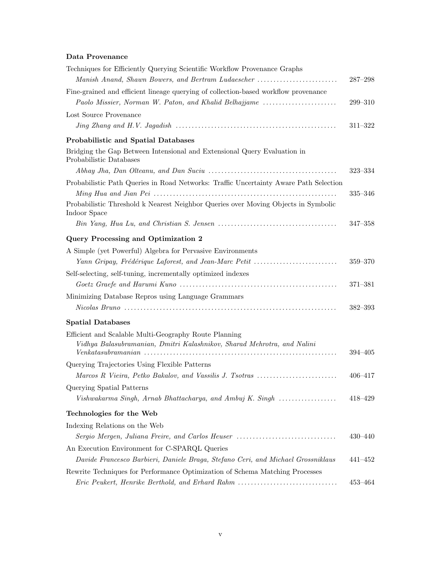### Data Provenance

| Techniques for Efficiently Querying Scientific Workflow Provenance Graphs                           |             |
|-----------------------------------------------------------------------------------------------------|-------------|
| Manish Anand, Shawn Bowers, and Bertram Ludaescher                                                  | $287 - 298$ |
| Fine-grained and efficient lineage querying of collection-based workflow provenance                 |             |
| Paolo Missier, Norman W. Paton, and Khalid Belhajjame                                               | $299 - 310$ |
| Lost Source Provenance                                                                              |             |
|                                                                                                     | $311 - 322$ |
| <b>Probabilistic and Spatial Databases</b>                                                          |             |
| Bridging the Gap Between Intensional and Extensional Query Evaluation in<br>Probabilistic Databases |             |
|                                                                                                     | $323 - 334$ |
| Probabilistic Path Queries in Road Networks: Traffic Uncertainty Aware Path Selection               | $335 - 346$ |
| Probabilistic Threshold k Nearest Neighbor Queries over Moving Objects in Symbolic<br>Indoor Space  |             |
|                                                                                                     | $347 - 358$ |
| Query Processing and Optimization 2                                                                 |             |
| A Simple (yet Powerful) Algebra for Pervasive Environments                                          |             |
| Yann Gripay, Frédérique Laforest, and Jean-Marc Petit                                               | $359 - 370$ |
| Self-selecting, self-tuning, incrementally optimized indexes                                        |             |
|                                                                                                     | 371-381     |
| Minimizing Database Repros using Language Grammars                                                  |             |
|                                                                                                     | $382 - 393$ |
| <b>Spatial Databases</b>                                                                            |             |
| Efficient and Scalable Multi-Geography Route Planning                                               |             |
| Vidhya Balasubramanian, Dmitri Kalashnikov, Sharad Mehrotra, and Nalini                             |             |
|                                                                                                     | $394 - 405$ |
| Querying Trajectories Using Flexible Patterns                                                       |             |
| Marcos R Vieira, Petko Bakalov, and Vassilis J. Tsotras                                             | $406 - 417$ |
| Querying Spatial Patterns                                                                           |             |
| Vishwakarma Singh, Arnab Bhattacharya, and Ambuj K. Singh                                           | $418 - 429$ |
| Technologies for the Web                                                                            |             |
| Indexing Relations on the Web                                                                       |             |
| Sergio Mergen, Juliana Freire, and Carlos Heuser                                                    | $430 - 440$ |
| An Execution Environment for C-SPARQL Queries                                                       |             |
| Davide Francesco Barbieri, Daniele Braga, Stefano Ceri, and Michael Grossniklaus                    | 441-452     |
| Rewrite Techniques for Performance Optimization of Schema Matching Processes                        |             |
| Eric Peukert, Henrike Berthold, and Erhard Rahm                                                     | $453 - 464$ |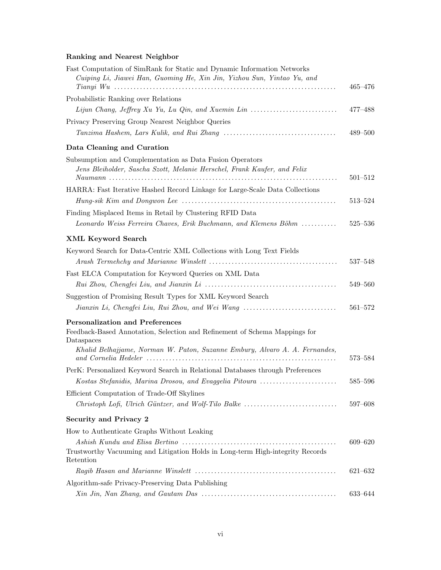### Ranking and Nearest Neighbor

| Fast Computation of SimRank for Static and Dynamic Information Networks<br>Cuiping Li, Jiawei Han, Guoming He, Xin Jin, Yizhou Sun, Yintao Yu, and                                                                | $465 - 476$ |
|-------------------------------------------------------------------------------------------------------------------------------------------------------------------------------------------------------------------|-------------|
| Probabilistic Ranking over Relations                                                                                                                                                                              |             |
|                                                                                                                                                                                                                   | $477 - 488$ |
| Privacy Preserving Group Nearest Neighbor Queries                                                                                                                                                                 | $489 - 500$ |
| Data Cleaning and Curation                                                                                                                                                                                        |             |
| Subsumption and Complementation as Data Fusion Operators<br>Jens Bleiholder, Sascha Szott, Melanie Herschel, Frank Kaufer, and Felix                                                                              | $501 - 512$ |
| HARRA: Fast Iterative Hashed Record Linkage for Large-Scale Data Collections                                                                                                                                      |             |
|                                                                                                                                                                                                                   | 513–524     |
| Finding Misplaced Items in Retail by Clustering RFID Data                                                                                                                                                         |             |
| Leonardo Weiss Ferreira Chaves, Erik Buchmann, and Klemens Böhm                                                                                                                                                   | $525 - 536$ |
| <b>XML Keyword Search</b>                                                                                                                                                                                         |             |
| Keyword Search for Data-Centric XML Collections with Long Text Fields                                                                                                                                             | $537 - 548$ |
| Fast ELCA Computation for Keyword Queries on XML Data                                                                                                                                                             |             |
|                                                                                                                                                                                                                   | 549-560     |
| Suggestion of Promising Result Types for XML Keyword Search                                                                                                                                                       |             |
| Jianxin Li, Chengfei Liu, Rui Zhou, and Wei Wang                                                                                                                                                                  | $561 - 572$ |
| <b>Personalization and Preferences</b><br>Feedback-Based Annotation, Selection and Refinement of Schema Mappings for<br>Dataspaces<br>Khalid Belhajjame, Norman W. Paton, Suzanne Embury, Alvaro A. A. Fernandes, |             |
|                                                                                                                                                                                                                   | $573 - 584$ |
| PerK: Personalized Keyword Search in Relational Databases through Preferences<br>Kostas Stefanidis, Marina Drosou, and Evaggelia Pitoura                                                                          | 585–596     |
| Efficient Computation of Trade-Off Skylines                                                                                                                                                                       |             |
|                                                                                                                                                                                                                   | 597–608     |
| Security and Privacy 2                                                                                                                                                                                            |             |
| How to Authenticate Graphs Without Leaking                                                                                                                                                                        |             |
| Trustworthy Vacuuming and Litigation Holds in Long-term High-integrity Records<br>Retention                                                                                                                       | $609 - 620$ |
|                                                                                                                                                                                                                   | $621 - 632$ |
| Algorithm-safe Privacy-Preserving Data Publishing                                                                                                                                                                 |             |
|                                                                                                                                                                                                                   | 633-644     |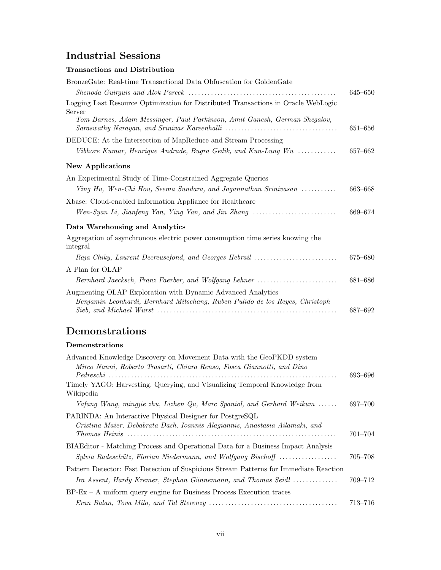### Industrial Sessions

### Transactions and Distribution

| BronzeGate: Real-time Transactional Data Obfuscation for GoldenGate                                                                                                       |             |
|---------------------------------------------------------------------------------------------------------------------------------------------------------------------------|-------------|
|                                                                                                                                                                           | 645–650     |
| Logging Last Resource Optimization for Distributed Transactions in Oracle WebLogic<br>Server<br>Tom Barnes, Adam Messinger, Paul Parkinson, Amit Ganesh, German Shegalov, | $651 - 656$ |
| DEDUCE: At the Intersection of MapReduce and Stream Processing                                                                                                            |             |
| Vibhore Kumar, Henrique Andrade, Bugra Gedik, and Kun-Lung Wu $\ldots \ldots \ldots$                                                                                      | 657–662     |
| <b>New Applications</b>                                                                                                                                                   |             |
| An Experimental Study of Time-Constrained Aggregate Queries                                                                                                               |             |
| Ying Hu, Wen-Chi Hou, Seema Sundara, and Jagannathan Srinivasan                                                                                                           | 663-668     |
| Xbase: Cloud-enabled Information Appliance for Healthcare                                                                                                                 |             |
|                                                                                                                                                                           | 669-674     |
| Data Warehousing and Analytics                                                                                                                                            |             |
| Aggregation of asynchronous electric power consumption time series knowing the<br>integral                                                                                |             |
| Raja Chiky, Laurent Decreusefond, and Georges Hebrail                                                                                                                     | 675–680     |
| A Plan for OLAP                                                                                                                                                           |             |
| Bernhard Jaecksch, Franz Faerber, and Wolfgang Lehner                                                                                                                     | 681-686     |
| Augmenting OLAP Exploration with Dynamic Advanced Analytics<br>Benjamin Leonhardi, Bernhard Mitschang, Ruben Pulido de los Reyes, Christoph                               | 687-692     |
|                                                                                                                                                                           |             |

### Demonstrations

### Demonstrations

| Advanced Knowledge Discovery on Movement Data with the GeoPKDD system                                                                                  |             |
|--------------------------------------------------------------------------------------------------------------------------------------------------------|-------------|
| Mirco Nanni, Roberto Trasarti, Chiara Renso, Fosca Giannotti, and Dino                                                                                 | 693–696     |
| Timely YAGO: Harvesting, Querying, and Visualizing Temporal Knowledge from<br>Wikipedia                                                                |             |
| Yafang Wang, mingjie zhu, Lizhen Qu, Marc Spaniol, and Gerhard Weikum                                                                                  | 697-700     |
| PARINDA: An Interactive Physical Designer for PostgreSQL<br>Cristina Maier, Debabrata Dash, Ioannis Alagiannis, Anastasia Ailamaki, and                | $701 - 704$ |
| BIAEditor - Matching Process and Operational Data for a Business Impact Analysis<br>Sylvia Radeschütz, Florian Niedermann, and Wolfgang Bischoff       | $705 - 708$ |
| Pattern Detector: Fast Detection of Suspicious Stream Patterns for Immediate Reaction<br>Ira Assent, Hardy Kremer, Stephan Günnemann, and Thomas Seidl | 709–712     |
| $BP$ -Ex – A uniform query engine for Business Process Execution traces                                                                                |             |
|                                                                                                                                                        | $713 - 716$ |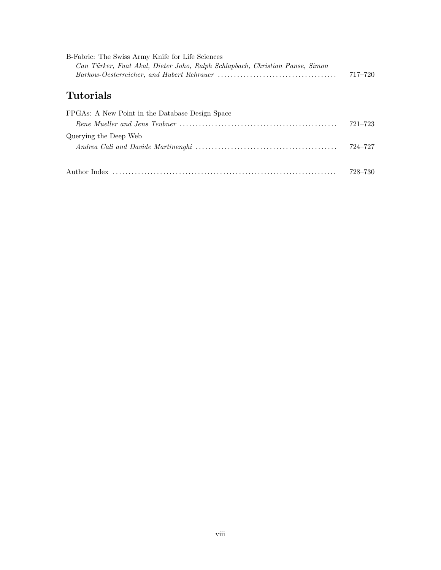| B-Fabric: The Swiss Army Knife for Life Sciences<br>Can Türker, Fuat Akal, Dieter Joho, Ralph Schlapbach, Christian Panse, Simon | $717 - 720$ |
|----------------------------------------------------------------------------------------------------------------------------------|-------------|
| <b>Tutorials</b>                                                                                                                 |             |
| FPGAs: A New Point in the Database Design Space                                                                                  |             |
|                                                                                                                                  | $721 - 723$ |
| Querying the Deep Web                                                                                                            |             |
|                                                                                                                                  | 724–727     |
|                                                                                                                                  |             |
| Author Index                                                                                                                     | 728–730     |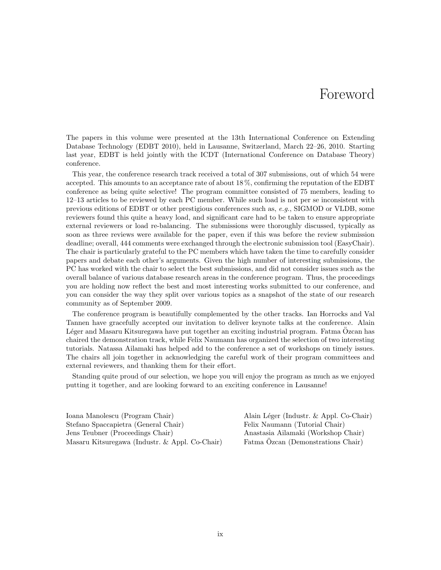# Foreword

The papers in this volume were presented at the 13th International Conference on Extending Database Technology (EDBT 2010), held in Lausanne, Switzerland, March 22–26, 2010. Starting last year, EDBT is held jointly with the ICDT (International Conference on Database Theory) conference.

This year, the conference research track received a total of 307 submissions, out of which 54 were accepted. This amounts to an acceptance rate of about 18 %, confirming the reputation of the EDBT conference as being quite selective! The program committee consisted of 75 members, leading to 12–13 articles to be reviewed by each PC member. While such load is not per se inconsistent with previous editions of EDBT or other prestigious conferences such as, e.g., SIGMOD or VLDB, some reviewers found this quite a heavy load, and significant care had to be taken to ensure appropriate external reviewers or load re-balancing. The submissions were thoroughly discussed, typically as soon as three reviews were available for the paper, even if this was before the review submission deadline; overall, 444 comments were exchanged through the electronic submission tool (EasyChair). The chair is particularly grateful to the PC members which have taken the time to carefully consider papers and debate each other's arguments. Given the high number of interesting submissions, the PC has worked with the chair to select the best submissions, and did not consider issues such as the overall balance of various database research areas in the conference program. Thus, the proceedings you are holding now reflect the best and most interesting works submitted to our conference, and you can consider the way they split over various topics as a snapshot of the state of our research community as of September 2009.

The conference program is beautifully complemented by the other tracks. Ian Horrocks and Val Tannen have gracefully accepted our invitation to deliver keynote talks at the conference. Alain Léger and Masaru Kitsuregawa have put together an exciting industrial program. Fatma Özcan has chaired the demonstration track, while Felix Naumann has organized the selection of two interesting tutorials. Natassa Ailamaki has helped add to the conference a set of workshops on timely issues. The chairs all join together in acknowledging the careful work of their program committees and external reviewers, and thanking them for their effort.

Standing quite proud of our selection, we hope you will enjoy the program as much as we enjoyed putting it together, and are looking forward to an exciting conference in Lausanne!

Ioana Manolescu (Program Chair) Alain Léger (Industr. & Appl. Co-Chair) Stefano Spaccapietra (General Chair) Felix Naumann (Tutorial Chair) Jens Teubner (Proceedings Chair) Anastasia Ailamaki (Workshop Chair) Masaru Kitsuregawa (Industr. & Appl. Co-Chair) Fatma Ozcan (Demonstrations Chair) ¨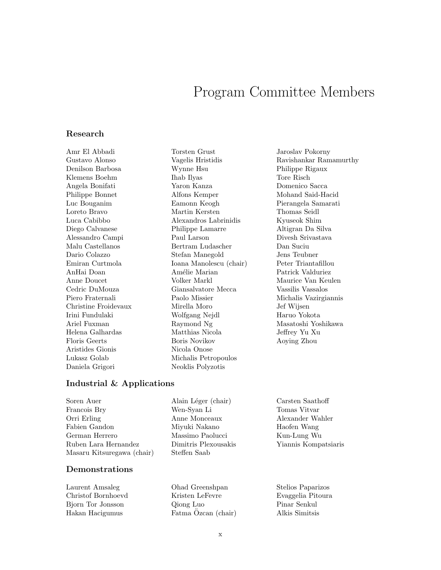## Program Committee Members

#### Research

Amr El Abbadi Gustavo Alonso Denilson Barbosa Klemens Boehm Angela Bonifati Philippe Bonnet Luc Bouganim Loreto Bravo Luca Cabibbo Diego Calvanese Alessandro Campi Malu Castellanos Dario Colazzo Emiran Curtmola AnHai Doan Anne Doucet Cedric DuMouza Piero Fraternali Christine Froidevaux Irini Fundulaki Ariel Fuxman Helena Galhardas Floris Geerts Aristides Gionis Lukasz Golab Daniela Grigori

Torsten Grust Vagelis Hristidis Wynne Hsu Ihab Ilyas Yaron Kanza Alfons Kemper Eamonn Keogh Martin Kersten Alexandros Labrinidis Philippe Lamarre Paul Larson Bertram Ludascher Stefan Manegold Ioana Manolescu (chair) Amélie Marian Volker Markl Giansalvatore Mecca Paolo Missier Mirella Moro Wolfgang Nejdl Raymond Ng Matthias Nicola Boris Novikov Nicola Onose Michalis Petropoulos Neoklis Polyzotis

Jaroslav Pokorny Ravishankar Ramamurthy Philippe Rigaux Tore Risch Domenico Sacca Mohand Said-Hacid Pierangela Samarati Thomas Seidl Kyuseok Shim Altigran Da Silva Divesh Srivastava Dan Suciu Jens Teubner Peter Triantafillou Patrick Valduriez Maurice Van Keulen Vassilis Vassalos Michalis Vazirgiannis Jef Wijsen Haruo Yokota Masatoshi Yoshikawa Jeffrey Yu Xu Aoying Zhou

### Industrial & Applications

Soren Auer Francois Bry Orri Erling Fabien Gandon German Herrero Ruben Lara Hernandez Masaru Kitsuregawa (chair)

#### Demonstrations

Laurent Amsaleg Christof Bornhoevd Bjorn Tor Jonsson Hakan Hacigumus

Alain Léger (chair) Wen-Syan Li Anne Monceaux Miyuki Nakano Massimo Paolucci Dimitris Plexousakis Steffen Saab

Carsten Saathoff Tomas Vitvar Alexander Wahler Haofen Wang Kun-Lung Wu Yiannis Kompatsiaris

Ohad Greenshpan Kristen LeFevre Qiong Luo Fatma Ozcan (chair) Stelios Paparizos Evaggelia Pitoura Pinar Senkul Alkis Simitsis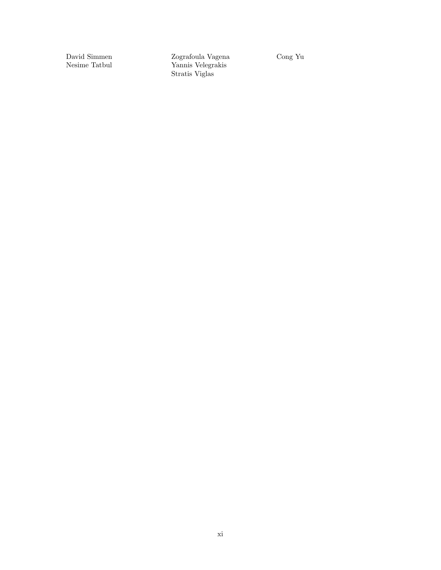David Simmen Nesime Tatbul

Zografoula Vagena Yannis Velegrakis Stratis Viglas

Cong Yu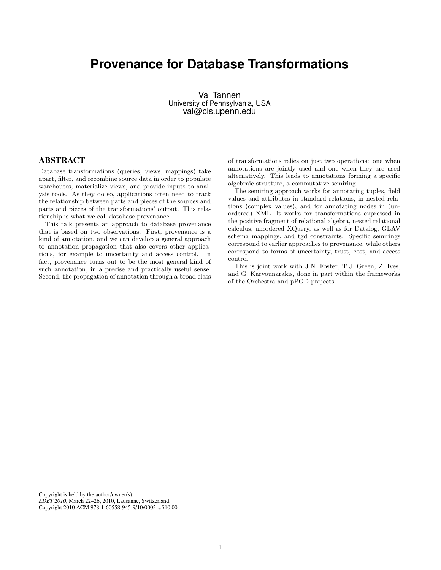### **Provenance for Database Transformations**

Val Tannen University of Pennsylvania, USA val@cis.upenn.edu

### ABSTRACT

Database transformations (queries, views, mappings) take apart, filter, and recombine source data in order to populate warehouses, materialize views, and provide inputs to analysis tools. As they do so, applications often need to track the relationship between parts and pieces of the sources and parts and pieces of the transformations' output. This relationship is what we call database provenance.

This talk presents an approach to database provenance that is based on two observations. First, provenance is a kind of annotation, and we can develop a general approach to annotation propagation that also covers other applications, for example to uncertainty and access control. In fact, provenance turns out to be the most general kind of such annotation, in a precise and practically useful sense. Second, the propagation of annotation through a broad class

of transformations relies on just two operations: one when annotations are jointly used and one when they are used alternatively. This leads to annotations forming a specific algebraic structure, a commutative semiring.

The semiring approach works for annotating tuples, field values and attributes in standard relations, in nested relations (complex values), and for annotating nodes in (unordered) XML. It works for transformations expressed in the positive fragment of relational algebra, nested relational calculus, unordered XQuery, as well as for Datalog, GLAV schema mappings, and tgd constraints. Specific semirings correspond to earlier approaches to provenance, while others correspond to forms of uncertainty, trust, cost, and access control.

This is joint work with J.N. Foster, T.J. Green, Z. Ives, and G. Karvounarakis, done in part within the frameworks of the Orchestra and pPOD projects.

Copyright is held by the author/owner(s). *EDBT 2010*, March 22–26, 2010, Lausanne, Switzerland. Copyright 2010 ACM 978-1-60558-945-9/10/0003 ...\$10.00